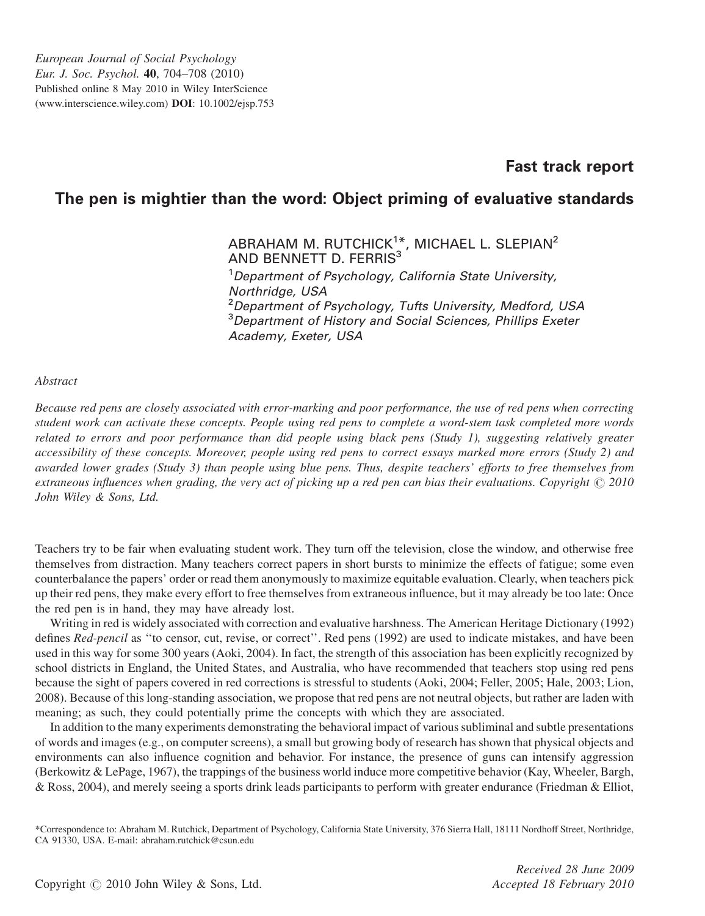European Journal of Social Psychology Eur. J. Soc. Psychol. 40, 704–708 (2010) Published online 8 May 2010 in Wiley InterScience (www.interscience.wiley.com) DOI: 10.1002/ejsp.753

# Fast track report

# The pen is mightier than the word: Object priming of evaluative standards

ABRAHAM M. RUTCHICK $1^*$ , MICHAEL L. SLEPIAN<sup>2</sup> AND BENNETT D. FERRIS $3$ <sup>1</sup> Department of Psychology, California State University, Northridge, USA <sup>2</sup> Department of Psychology, Tufts University, Medford, USA <sup>3</sup> Department of History and Social Sciences, Phillips Exeter

Academy, Exeter, USA

## Abstract

Because red pens are closely associated with error-marking and poor performance, the use of red pens when correcting student work can activate these concepts. People using red pens to complete a word-stem task completed more words related to errors and poor performance than did people using black pens (Study 1), suggesting relatively greater accessibility of these concepts. Moreover, people using red pens to correct essays marked more errors (Study 2) and awarded lower grades (Study 3) than people using blue pens. Thus, despite teachers' efforts to free themselves from extraneous influences when grading, the very act of picking up a red pen can bias their evaluations. Copyright  $\heartsuit$  2010 John Wiley & Sons, Ltd.

Teachers try to be fair when evaluating student work. They turn off the television, close the window, and otherwise free themselves from distraction. Many teachers correct papers in short bursts to minimize the effects of fatigue; some even counterbalance the papers' order or read them anonymously to maximize equitable evaluation. Clearly, when teachers pick up their red pens, they make every effort to free themselves from extraneous influence, but it may already be too late: Once the red pen is in hand, they may have already lost.

Writing in red is widely associated with correction and evaluative harshness. The American Heritage Dictionary (1992) defines Red-pencil as "to censor, cut, revise, or correct". Red pens (1992) are used to indicate mistakes, and have been used in this way for some 300 years (Aoki, 2004). In fact, the strength of this association has been explicitly recognized by school districts in England, the United States, and Australia, who have recommended that teachers stop using red pens because the sight of papers covered in red corrections is stressful to students (Aoki, 2004; Feller, 2005; Hale, 2003; Lion, 2008). Because of this long-standing association, we propose that red pens are not neutral objects, but rather are laden with meaning; as such, they could potentially prime the concepts with which they are associated.

In addition to the many experiments demonstrating the behavioral impact of various subliminal and subtle presentations of words and images (e.g., on computer screens), a small but growing body of research has shown that physical objects and environments can also influence cognition and behavior. For instance, the presence of guns can intensify aggression (Berkowitz & LePage, 1967), the trappings of the business world induce more competitive behavior (Kay, Wheeler, Bargh, & Ross, 2004), and merely seeing a sports drink leads participants to perform with greater endurance (Friedman & Elliot,

\*Correspondence to: Abraham M. Rutchick, Department of Psychology, California State University, 376 Sierra Hall, 18111 Nordhoff Street, Northridge, CA 91330, USA. E-mail: abraham.rutchick@csun.edu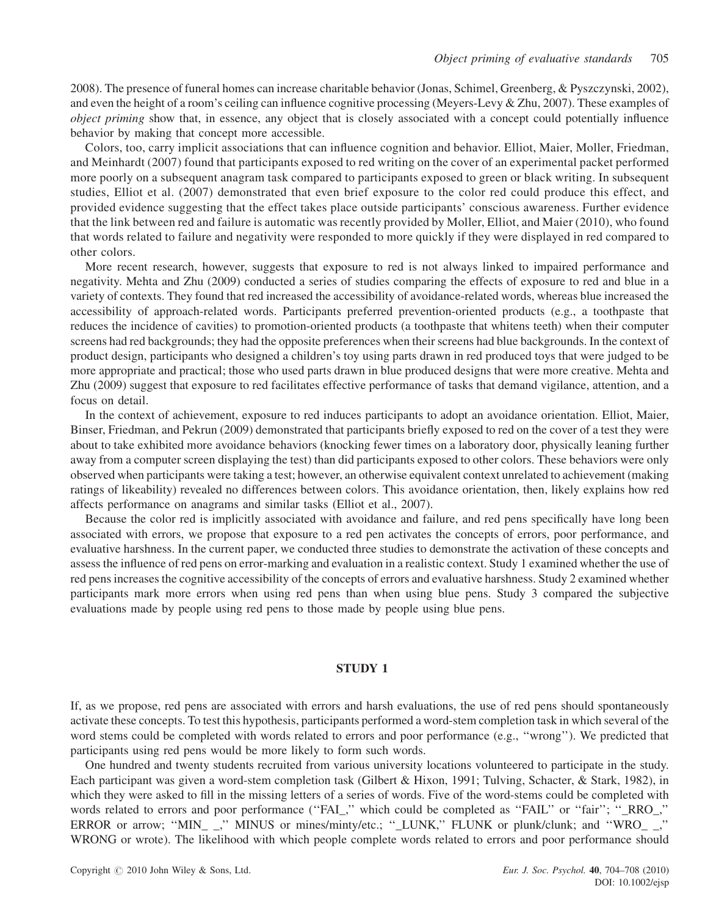2008). The presence of funeral homes can increase charitable behavior (Jonas, Schimel, Greenberg, & Pyszczynski, 2002), and even the height of a room's ceiling can influence cognitive processing (Meyers-Levy & Zhu, 2007). These examples of object priming show that, in essence, any object that is closely associated with a concept could potentially influence behavior by making that concept more accessible.

Colors, too, carry implicit associations that can influence cognition and behavior. Elliot, Maier, Moller, Friedman, and Meinhardt (2007) found that participants exposed to red writing on the cover of an experimental packet performed more poorly on a subsequent anagram task compared to participants exposed to green or black writing. In subsequent studies, Elliot et al. (2007) demonstrated that even brief exposure to the color red could produce this effect, and provided evidence suggesting that the effect takes place outside participants' conscious awareness. Further evidence that the link between red and failure is automatic was recently provided by Moller, Elliot, and Maier (2010), who found that words related to failure and negativity were responded to more quickly if they were displayed in red compared to other colors.

More recent research, however, suggests that exposure to red is not always linked to impaired performance and negativity. Mehta and Zhu (2009) conducted a series of studies comparing the effects of exposure to red and blue in a variety of contexts. They found that red increased the accessibility of avoidance-related words, whereas blue increased the accessibility of approach-related words. Participants preferred prevention-oriented products (e.g., a toothpaste that reduces the incidence of cavities) to promotion-oriented products (a toothpaste that whitens teeth) when their computer screens had red backgrounds; they had the opposite preferences when their screens had blue backgrounds. In the context of product design, participants who designed a children's toy using parts drawn in red produced toys that were judged to be more appropriate and practical; those who used parts drawn in blue produced designs that were more creative. Mehta and Zhu (2009) suggest that exposure to red facilitates effective performance of tasks that demand vigilance, attention, and a focus on detail.

In the context of achievement, exposure to red induces participants to adopt an avoidance orientation. Elliot, Maier, Binser, Friedman, and Pekrun (2009) demonstrated that participants briefly exposed to red on the cover of a test they were about to take exhibited more avoidance behaviors (knocking fewer times on a laboratory door, physically leaning further away from a computer screen displaying the test) than did participants exposed to other colors. These behaviors were only observed when participants were taking a test; however, an otherwise equivalent context unrelated to achievement (making ratings of likeability) revealed no differences between colors. This avoidance orientation, then, likely explains how red affects performance on anagrams and similar tasks (Elliot et al., 2007).

Because the color red is implicitly associated with avoidance and failure, and red pens specifically have long been associated with errors, we propose that exposure to a red pen activates the concepts of errors, poor performance, and evaluative harshness. In the current paper, we conducted three studies to demonstrate the activation of these concepts and assess the influence of red pens on error-marking and evaluation in a realistic context. Study 1 examined whether the use of red pens increases the cognitive accessibility of the concepts of errors and evaluative harshness. Study 2 examined whether participants mark more errors when using red pens than when using blue pens. Study 3 compared the subjective evaluations made by people using red pens to those made by people using blue pens.

#### STUDY 1

If, as we propose, red pens are associated with errors and harsh evaluations, the use of red pens should spontaneously activate these concepts. To test this hypothesis, participants performed a word-stem completion task in which several of the word stems could be completed with words related to errors and poor performance (e.g., ''wrong''). We predicted that participants using red pens would be more likely to form such words.

One hundred and twenty students recruited from various university locations volunteered to participate in the study. Each participant was given a word-stem completion task (Gilbert & Hixon, 1991; Tulving, Schacter, & Stark, 1982), in which they were asked to fill in the missing letters of a series of words. Five of the word-stems could be completed with words related to errors and poor performance ("FAI\_," which could be completed as "FAIL" or "fair"; "\_RRO\_," ERROR or arrow; "MIN\_," MINUS or mines/minty/etc.; "\_LUNK," FLUNK or plunk/clunk; and "WRO\_," WRONG or wrote). The likelihood with which people complete words related to errors and poor performance should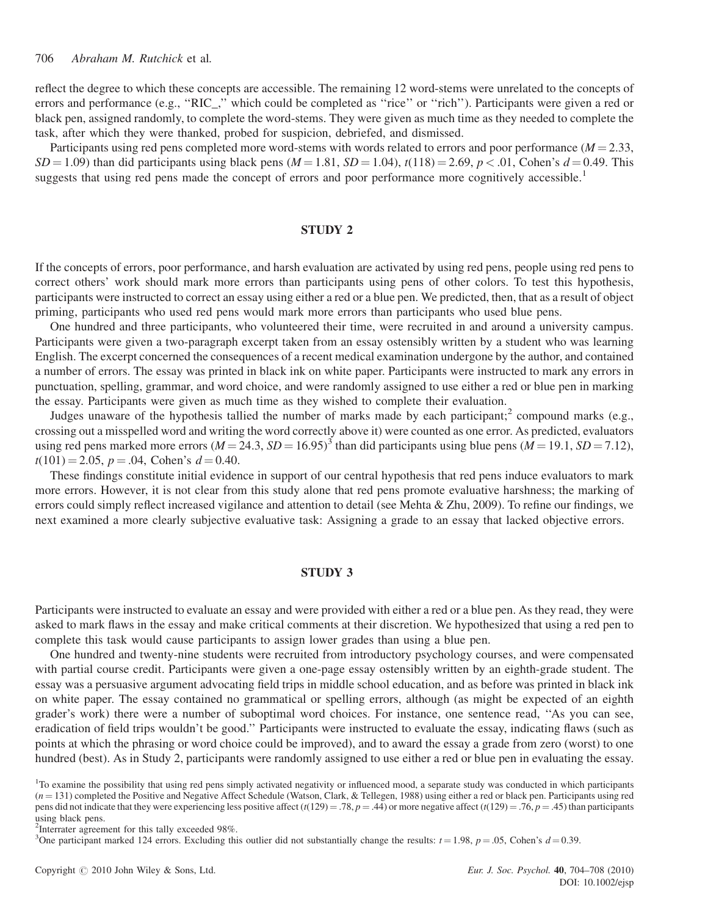reflect the degree to which these concepts are accessible. The remaining 12 word-stems were unrelated to the concepts of errors and performance (e.g., "RIC\_," which could be completed as "rice" or "rich"). Participants were given a red or black pen, assigned randomly, to complete the word-stems. They were given as much time as they needed to complete the task, after which they were thanked, probed for suspicion, debriefed, and dismissed.

Participants using red pens completed more word-stems with words related to errors and poor performance ( $M = 2.33$ ,  $SD = 1.09$ ) than did participants using black pens  $(M = 1.81, SD = 1.04)$ ,  $t(118) = 2.69, p < .01$ , Cohen's  $d = 0.49$ . This suggests that using red pens made the concept of errors and poor performance more cognitively accessible. $1$ 

## STUDY 2

If the concepts of errors, poor performance, and harsh evaluation are activated by using red pens, people using red pens to correct others' work should mark more errors than participants using pens of other colors. To test this hypothesis, participants were instructed to correct an essay using either a red or a blue pen. We predicted, then, that as a result of object priming, participants who used red pens would mark more errors than participants who used blue pens.

One hundred and three participants, who volunteered their time, were recruited in and around a university campus. Participants were given a two-paragraph excerpt taken from an essay ostensibly written by a student who was learning English. The excerpt concerned the consequences of a recent medical examination undergone by the author, and contained a number of errors. The essay was printed in black ink on white paper. Participants were instructed to mark any errors in punctuation, spelling, grammar, and word choice, and were randomly assigned to use either a red or blue pen in marking the essay. Participants were given as much time as they wished to complete their evaluation.

Judges unaware of the hypothesis tallied the number of marks made by each participant;<sup>2</sup> compound marks (e.g., crossing out a misspelled word and writing the word correctly above it) were counted as one error. As predicted, evaluators using red pens marked more errors ( $M = 24.3$ ,  $SD = 16.95$ <sup>3</sup> than did participants using blue pens ( $M = 19.1$ ,  $SD = 7.12$ ),  $t(101) = 2.05$ ,  $p = .04$ , Cohen's  $d = 0.40$ .

These findings constitute initial evidence in support of our central hypothesis that red pens induce evaluators to mark more errors. However, it is not clear from this study alone that red pens promote evaluative harshness; the marking of errors could simply reflect increased vigilance and attention to detail (see Mehta  $\&$  Zhu, 2009). To refine our findings, we next examined a more clearly subjective evaluative task: Assigning a grade to an essay that lacked objective errors.

#### STUDY 3

Participants were instructed to evaluate an essay and were provided with either a red or a blue pen. As they read, they were asked to mark flaws in the essay and make critical comments at their discretion. We hypothesized that using a red pen to complete this task would cause participants to assign lower grades than using a blue pen.

One hundred and twenty-nine students were recruited from introductory psychology courses, and were compensated with partial course credit. Participants were given a one-page essay ostensibly written by an eighth-grade student. The essay was a persuasive argument advocating field trips in middle school education, and as before was printed in black ink on white paper. The essay contained no grammatical or spelling errors, although (as might be expected of an eighth grader's work) there were a number of suboptimal word choices. For instance, one sentence read, ''As you can see, eradication of field trips wouldn't be good.'' Participants were instructed to evaluate the essay, indicating flaws (such as points at which the phrasing or word choice could be improved), and to award the essay a grade from zero (worst) to one hundred (best). As in Study 2, participants were randomly assigned to use either a red or blue pen in evaluating the essay.

<sup>&</sup>lt;sup>1</sup>To examine the possibility that using red pens simply activated negativity or influenced mood, a separate study was conducted in which participants  $(n = 131)$  completed the Positive and Negative Affect Schedule (Watson, Clark, & Tellegen, 1988) using either a red or black pen. Participants using red pens did not indicate that they were experiencing less positive affect (t(129) = .78, p = .44) or more negative affect (t(129) = .76, p = .45) than participants using black pens.

<sup>&</sup>lt;sup>2</sup>Interrater agreement for this tally exceeded 98%.

<sup>&</sup>lt;sup>3</sup>One participant marked 124 errors. Excluding this outlier did not substantially change the results:  $t = 1.98$ ,  $p = .05$ , Cohen's  $d = 0.39$ .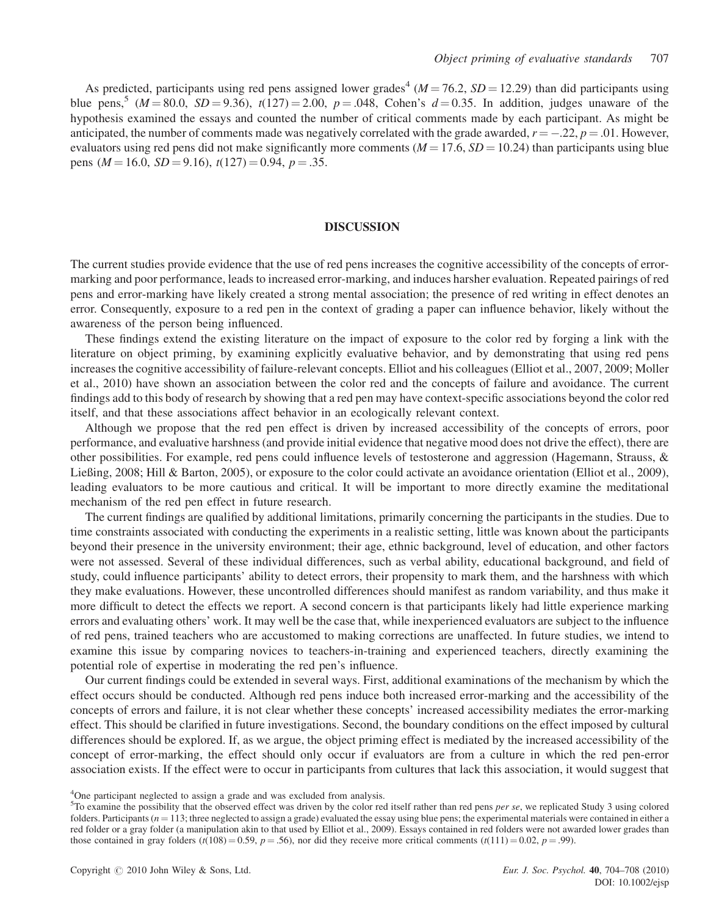As predicted, participants using red pens assigned lower grades<sup>4</sup> ( $M = 76.2$ ,  $SD = 12.29$ ) than did participants using blue pens,<sup>5</sup> ( $M = 80.0$ ,  $SD = 9.36$ ),  $t(127) = 2.00$ ,  $p = .048$ , Cohen's  $d = 0.35$ . In addition, judges unaware of the hypothesis examined the essays and counted the number of critical comments made by each participant. As might be anticipated, the number of comments made was negatively correlated with the grade awarded,  $r = -.22$ ,  $p = .01$ . However, evaluators using red pens did not make significantly more comments  $(M = 17.6, SD = 10.24)$  than participants using blue pens ( $M = 16.0$ ,  $SD = 9.16$ ),  $t(127) = 0.94$ ,  $p = .35$ .

#### DISCUSSION

The current studies provide evidence that the use of red pens increases the cognitive accessibility of the concepts of errormarking and poor performance, leads to increased error-marking, and induces harsher evaluation. Repeated pairings of red pens and error-marking have likely created a strong mental association; the presence of red writing in effect denotes an error. Consequently, exposure to a red pen in the context of grading a paper can influence behavior, likely without the awareness of the person being influenced.

These findings extend the existing literature on the impact of exposure to the color red by forging a link with the literature on object priming, by examining explicitly evaluative behavior, and by demonstrating that using red pens increases the cognitive accessibility of failure-relevant concepts. Elliot and his colleagues (Elliot et al., 2007, 2009; Moller et al., 2010) have shown an association between the color red and the concepts of failure and avoidance. The current findings add to this body of research by showing that a red pen may have context-specific associations beyond the color red itself, and that these associations affect behavior in an ecologically relevant context.

Although we propose that the red pen effect is driven by increased accessibility of the concepts of errors, poor performance, and evaluative harshness (and provide initial evidence that negative mood does not drive the effect), there are other possibilities. For example, red pens could influence levels of testosterone and aggression (Hagemann, Strauss, & Ließing, 2008; Hill & Barton, 2005), or exposure to the color could activate an avoidance orientation (Elliot et al., 2009), leading evaluators to be more cautious and critical. It will be important to more directly examine the meditational mechanism of the red pen effect in future research.

The current findings are qualified by additional limitations, primarily concerning the participants in the studies. Due to time constraints associated with conducting the experiments in a realistic setting, little was known about the participants beyond their presence in the university environment; their age, ethnic background, level of education, and other factors were not assessed. Several of these individual differences, such as verbal ability, educational background, and field of study, could influence participants' ability to detect errors, their propensity to mark them, and the harshness with which they make evaluations. However, these uncontrolled differences should manifest as random variability, and thus make it more difficult to detect the effects we report. A second concern is that participants likely had little experience marking errors and evaluating others' work. It may well be the case that, while inexperienced evaluators are subject to the influence of red pens, trained teachers who are accustomed to making corrections are unaffected. In future studies, we intend to examine this issue by comparing novices to teachers-in-training and experienced teachers, directly examining the potential role of expertise in moderating the red pen's influence.

Our current findings could be extended in several ways. First, additional examinations of the mechanism by which the effect occurs should be conducted. Although red pens induce both increased error-marking and the accessibility of the concepts of errors and failure, it is not clear whether these concepts' increased accessibility mediates the error-marking effect. This should be clarified in future investigations. Second, the boundary conditions on the effect imposed by cultural differences should be explored. If, as we argue, the object priming effect is mediated by the increased accessibility of the concept of error-marking, the effect should only occur if evaluators are from a culture in which the red pen-error association exists. If the effect were to occur in participants from cultures that lack this association, it would suggest that

<sup>&</sup>lt;sup>4</sup>One participant neglected to assign a grade and was excluded from analysis.

 ${}^{5}$ To examine the possibility that the observed effect was driven by the color red itself rather than red pens *per se*, we replicated Study 3 using colored folders. Participants  $(n = 113)$ ; three neglected to assign a grade) evaluated the essay using blue pens; the experimental materials were contained in either a red folder or a gray folder (a manipulation akin to that used by Elliot et al., 2009). Essays contained in red folders were not awarded lower grades than those contained in gray folders  $(t(108) = 0.59, p = .56)$ , nor did they receive more critical comments  $(t(111) = 0.02, p = .99)$ .